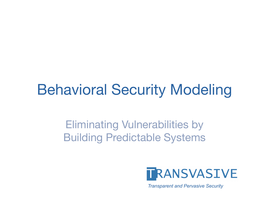# Behavioral Security Modeling

#### Eliminating Vulnerabilities by Building Predictable Systems



*Transparent and Pervasive Security*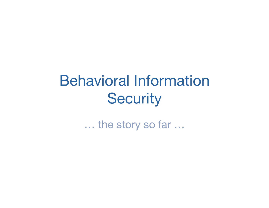… the story so far …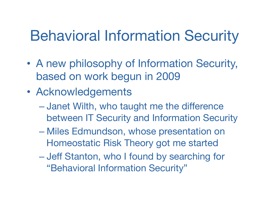- A new philosophy of Information Security, based on work begun in 2009
- Acknowledgements
	- Janet Wilth, who taught me the difference between IT Security and Information Security
	- Miles Edmundson, whose presentation on Homeostatic Risk Theory got me started
	- Jeff Stanton, who I found by searching for "Behavioral Information Security"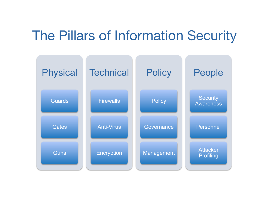#### The Pillars of Information Security

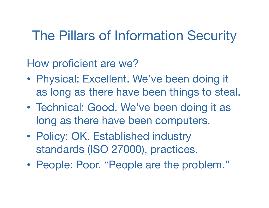#### The Pillars of Information Security

How proficient are we?

- Physical: Excellent. We've been doing it as long as there have been things to steal.
- Technical: Good. We've been doing it as long as there have been computers.
- Policy: OK. Established industry standards (ISO 27000), practices.
- People: Poor. "People are the problem."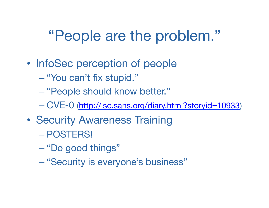# "People are the problem."

- InfoSec perception of people
	- "You can't fix stupid."
	- "People should know better."
	- CVE-0 (http://isc.sans.org/diary.html?storyid=10933)
- Security Awareness Training – POSTERS!
	- "Do good things"
	- "Security is everyone's business"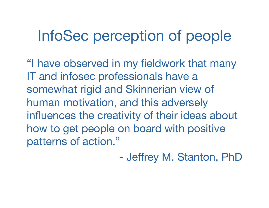## InfoSec perception of people

"I have observed in my fieldwork that many IT and infosec professionals have a somewhat rigid and Skinnerian view of human motivation, and this adversely influences the creativity of their ideas about how to get people on board with positive patterns of action."

- Jeffrey M. Stanton, PhD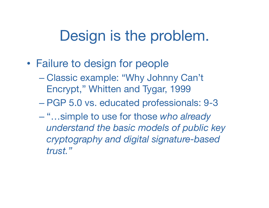## Design is the problem.

- Failure to design for people
	- Classic example: "Why Johnny Can't Encrypt," Whitten and Tygar, 1999
	- PGP 5.0 vs. educated professionals: 9-3
	- "…simple to use for those *who already understand the basic models of public key cryptography and digital signature-based trust."*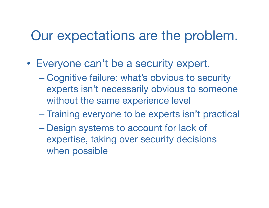#### Our expectations are the problem.

- Everyone can't be a security expert.
	- Cognitive failure: what's obvious to security experts isn't necessarily obvious to someone without the same experience level
	- Training everyone to be experts isn't practical
	- Design systems to account for lack of expertise, taking over security decisions when possible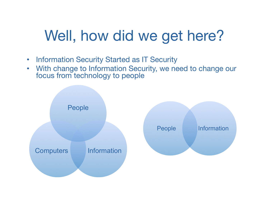# Well, how did we get here?

- Information Security Started as IT Security
- With change to Information Security, we need to change our focus from technology to people

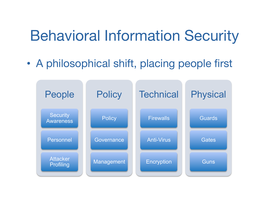• A philosophical shift, placing people first

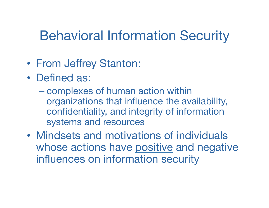- From Jeffrey Stanton:
- Defined as:
	- complexes of human action within organizations that influence the availability, confidentiality, and integrity of information systems and resources
- Mindsets and motivations of individuals whose actions have positive and negative influences on information security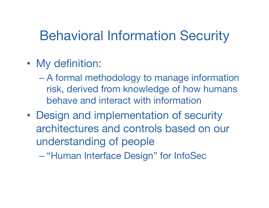- My definition:
	- A formal methodology to manage information risk, derived from knowledge of how humans behave and interact with information
- Design and implementation of security architectures and controls based on our understanding of people

– "Human Interface Design" for InfoSec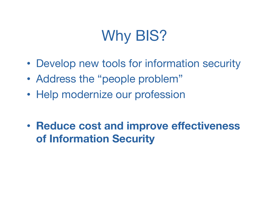# Why BIS?

- Develop new tools for information security
- Address the "people problem"
- Help modernize our profession
- **Reduce cost and improve effectiveness of Information Security**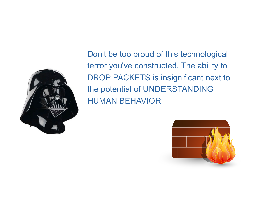

Don't be too proud of this technological terror you've constructed. The ability to DROP PACKETS is insignificant next to the potential of UNDERSTANDING HUMAN BEHAVIOR.

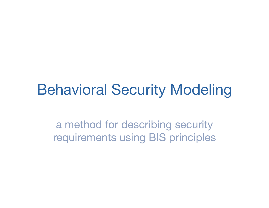#### Behavioral Security Modeling

a method for describing security requirements using BIS principles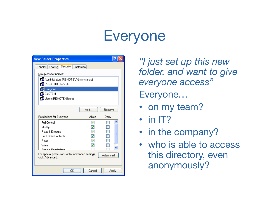#### Everyone

| <b>New Folder Properties</b>                                                     |               |        |
|----------------------------------------------------------------------------------|---------------|--------|
| Security<br>General<br>Sharing<br>Customize                                      |               |        |
| Group or user names:                                                             |               |        |
| 33 Administrators (REMOTE\Administrators)<br><b>RE</b> CREATOR OWNER             |               |        |
| . <i>≸<mark>§</mark>E</i> veryone                                                |               |        |
| <b>B</b> SYSTEM                                                                  |               |        |
| 12 Users (REMOTE\Users)                                                          |               |        |
|                                                                                  | Add           | Remove |
| Permissions for Everyone                                                         | Allow<br>Deny |        |
| <b>Full Control</b>                                                              | ◛             |        |
| Modify                                                                           |               |        |
| <b>Read &amp; Execute</b><br><b>List Folder Contents</b>                         | ☑             |        |
| Read                                                                             | ☑             |        |
| Write                                                                            |               |        |
| <b>Conside Demissions</b>                                                        |               |        |
| For special permissions or for advanced settings,<br>Advanced<br>click Advanced. |               |        |
| OΚ<br>Cancel<br>Apply                                                            |               |        |

*"I just set up this new folder, and want to give everyone access"* Everyone…

- on my team?
- in IT?
- in the company?
- who is able to access this directory, even anonymously?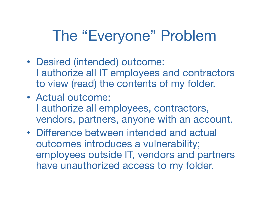# The "Everyone" Problem

- Desired (intended) outcome: I authorize all IT employees and contractors to view (read) the contents of my folder.
- Actual outcome: I authorize all employees, contractors, vendors, partners, anyone with an account.
- Difference between intended and actual outcomes introduces a vulnerability; employees outside IT, vendors and partners have unauthorized access to my folder.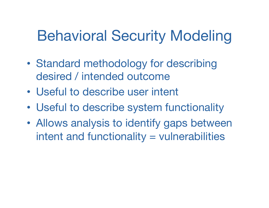# Behavioral Security Modeling

- Standard methodology for describing desired / intended outcome
- Useful to describe user intent
- Useful to describe system functionality
- Allows analysis to identify gaps between  $interactions$  intent and functionality  $=$  vulnerabilities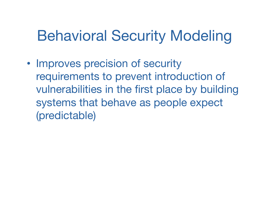# Behavioral Security Modeling

• Improves precision of security requirements to prevent introduction of vulnerabilities in the first place by building systems that behave as people expect (predictable)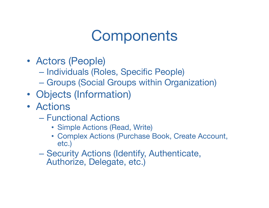# **Components**

- Actors (People)
	- Individuals (Roles, Specific People)
	- Groups (Social Groups within Organization)
- Objects (Information)
- Actions
	- Functional Actions
		- Simple Actions (Read, Write)
		- Complex Actions (Purchase Book, Create Account, etc.)
	- Security Actions (Identify, Authenticate, Authorize, Delegate, etc.)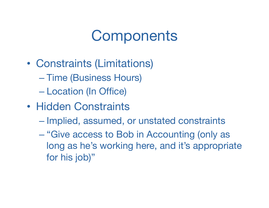# **Components**

- Constraints (Limitations)
	- Time (Business Hours)
	- Location (In Office)
- Hidden Constraints
	- Implied, assumed, or unstated constraints
	- "Give access to Bob in Accounting (only as long as he's working here, and it's appropriate for his job)"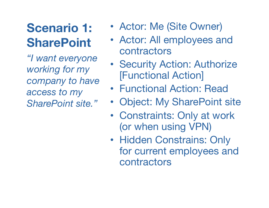#### **Scenario 1: SharePoint**

*"I want everyone working for my company to have access to my SharePoint site."*

- Actor: Me (Site Owner)
- Actor: All employees and contractors
- Security Action: Authorize [Functional Action]
- Functional Action: Read
- Object: My SharePoint site
- Constraints: Only at work (or when using VPN)
- Hidden Constrains: Only for current employees and contractors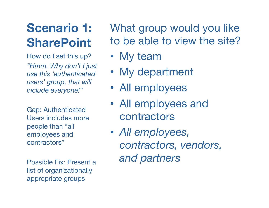#### **Scenario 1: SharePoint**

How do I set this up? *"Hmm. Why don't I just use this 'authenticated users' group, that will include everyone!"*

Gap: Authenticated Users includes more people than "all employees and contractors"

Possible Fix: Present a list of organizationally appropriate groups

What group would you like to be able to view the site?

- My team
- My department
- All employees
- All employees and contractors
- *All employees, contractors, vendors, and partners*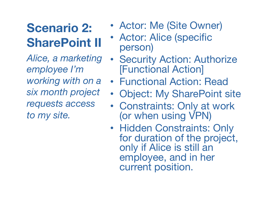#### **Scenario 2: SharePoint II**

*Alice, a marketing employee I'm working with on a six month project requests access to my site.*

- Actor: Me (Site Owner)
- Actor: Alice (specific person)
- Security Action: Authorize [Functional Action]
- Functional Action: Read
- Object: My SharePoint site
- Constraints: Only at work (or when using VPN)
- Hidden Constraints: Only for duration of the project, only if Alice is still an employee, and in her current position.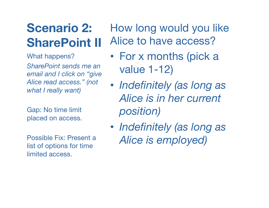#### **Scenario 2: SharePoint II**

What happens?

*SharePoint sends me an email and I click on "give Alice read access." (not what I really want)*

Gap: No time limit placed on access.

Possible Fix: Present a list of options for time limited access.

How long would you like Alice to have access?

- For x months (pick a value 1-12)
- *Indefinitely (as long as Alice is in her current position)*
- *Indefinitely (as long as Alice is employed)*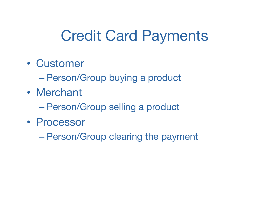# Credit Card Payments

- Customer
	- Person/Group buying a product
- Merchant
	- Person/Group selling a product
- Processor
	- Person/Group clearing the payment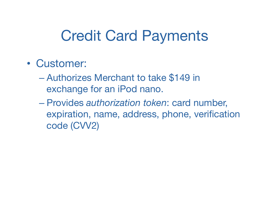# Credit Card Payments

- Customer:
	- Authorizes Merchant to take \$149 in exchange for an iPod nano.
	- Provides *authorization token*: card number, expiration, name, address, phone, verification code (CVV2)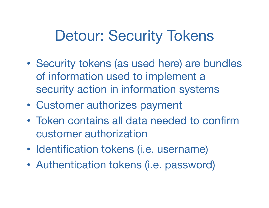## Detour: Security Tokens

- Security tokens (as used here) are bundles of information used to implement a security action in information systems
- Customer authorizes payment
- Token contains all data needed to confirm customer authorization
- Identification tokens (i.e. username)
- Authentication tokens (i.e. password)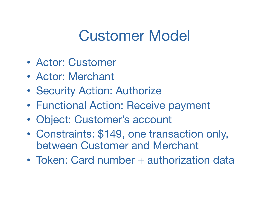#### Customer Model

- Actor: Customer
- Actor: Merchant
- Security Action: Authorize
- Functional Action: Receive payment
- Object: Customer's account
- Constraints: \$149, one transaction only, between Customer and Merchant
- Token: Card number + authorization data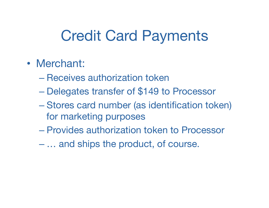# Credit Card Payments

- Merchant:
	- Receives authorization token
	- Delegates transfer of \$149 to Processor
	- Stores card number (as identification token) for marketing purposes
	- Provides authorization token to Processor
	- … and ships the product, of course.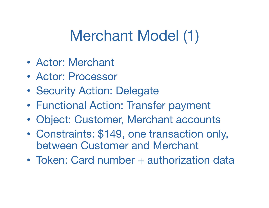# Merchant Model (1)

- Actor: Merchant
- Actor: Processor
- Security Action: Delegate
- Functional Action: Transfer payment
- Object: Customer, Merchant accounts
- Constraints: \$149, one transaction only, between Customer and Merchant
- Token: Card number + authorization data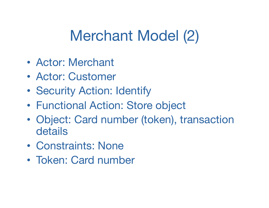# Merchant Model (2)

- Actor: Merchant
- Actor: Customer
- Security Action: Identify
- Functional Action: Store object
- Object: Card number (token), transaction details
- Constraints: None
- Token: Card number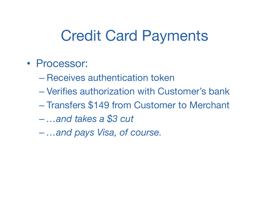# Credit Card Payments

- Processor:
	- Receives authentication token
	- Verifies authorization with Customer's bank
	- Transfers \$149 from Customer to Merchant
	- *…and takes a \$3 cut*
	- *…and pays Visa, of course.*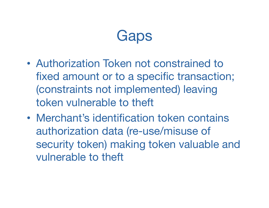# **Gaps**

- Authorization Token not constrained to fixed amount or to a specific transaction; (constraints not implemented) leaving token vulnerable to theft
- Merchant's identification token contains authorization data (re-use/misuse of security token) making token valuable and vulnerable to theft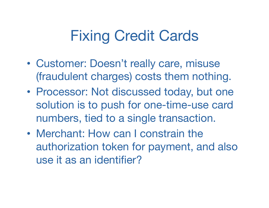# Fixing Credit Cards

- Customer: Doesn't really care, misuse (fraudulent charges) costs them nothing.
- Processor: Not discussed today, but one solution is to push for one-time-use card numbers, tied to a single transaction.
- Merchant: How can I constrain the authorization token for payment, and also use it as an identifier?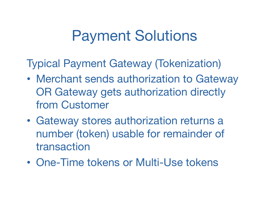Typical Payment Gateway (Tokenization)

- Merchant sends authorization to Gateway OR Gateway gets authorization directly from Customer
- Gateway stores authorization returns a number (token) usable for remainder of transaction
- One-Time tokens or Multi-Use tokens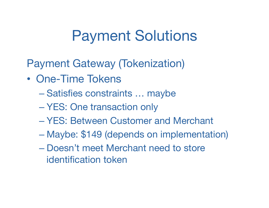Payment Gateway (Tokenization)

- One-Time Tokens
	- Satisfies constraints … maybe
	- YES: One transaction only
	- YES: Between Customer and Merchant
	- Maybe: \$149 (depends on implementation)
	- Doesn't meet Merchant need to store identification token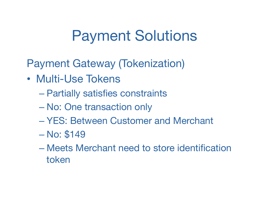Payment Gateway (Tokenization)

- Multi-Use Tokens
	- Partially satisfies constraints
	- No: One transaction only
	- YES: Between Customer and Merchant
	- No: \$149
	- Meets Merchant need to store identification token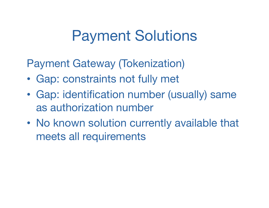Payment Gateway (Tokenization)

- Gap: constraints not fully met
- Gap: identification number (usually) same as authorization number
- No known solution currently available that meets all requirements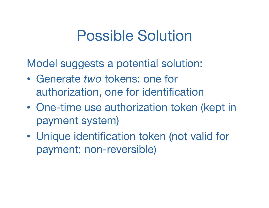#### Possible Solution

Model suggests a potential solution:

- Generate *two* tokens: one for authorization, one for identification
- One-time use authorization token (kept in payment system)
- Unique identification token (not valid for payment; non-reversible)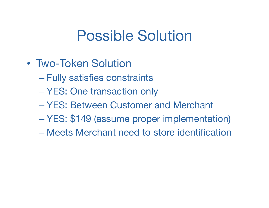# Possible Solution

- Two-Token Solution
	- Fully satisfies constraints
	- YES: One transaction only
	- YES: Between Customer and Merchant
	- YES: \$149 (assume proper implementation)
	- Meets Merchant need to store identification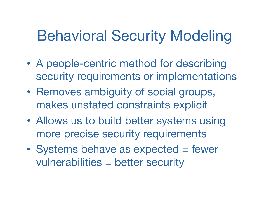# Behavioral Security Modeling

- A people-centric method for describing security requirements or implementations
- Removes ambiguity of social groups, makes unstated constraints explicit
- Allows us to build better systems using more precise security requirements
- Systems behave as expected = fewer vulnerabilities = better security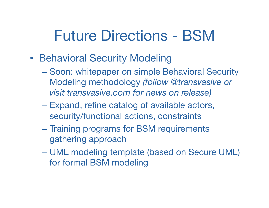# Future Directions - BSM

- Behavioral Security Modeling
	- Soon: whitepaper on simple Behavioral Security Modeling methodology *(follow @transvasive or visit transvasive.com for news on release)*
	- Expand, refine catalog of available actors, security/functional actions, constraints
	- Training programs for BSM requirements gathering approach
	- UML modeling template (based on Secure UML) for formal BSM modeling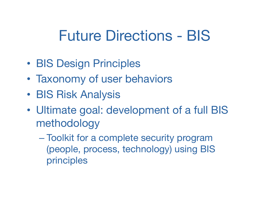## Future Directions - BIS

- BIS Design Principles
- Taxonomy of user behaviors
- BIS Risk Analysis
- Ultimate goal: development of a full BIS methodology
	- Toolkit for a complete security program (people, process, technology) using BIS principles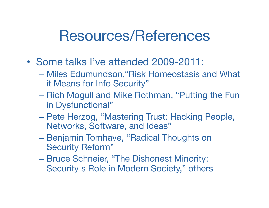#### Resources/References

- Some talks I've attended 2009-2011:
	- Miles Edumundson,"Risk Homeostasis and What it Means for Info Security"
	- Rich Mogull and Mike Rothman, "Putting the Fun in Dysfunctional"
	- Pete Herzog, "Mastering Trust: Hacking People, Networks, Software, and Ideas"
	- Benjamin Tomhave, "Radical Thoughts on Security Reform"
	- Bruce Schneier, "The Dishonest Minority: Security's Role in Modern Society," others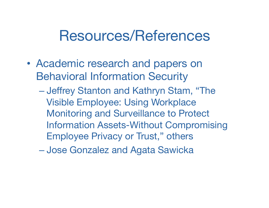#### Resources/References

- Academic research and papers on Behavioral Information Security
	- Jeffrey Stanton and Kathryn Stam, "The Visible Employee: Using Workplace Monitoring and Surveillance to Protect Information Assets-Without Compromising Employee Privacy or Trust," others
	- Jose Gonzalez and Agata Sawicka